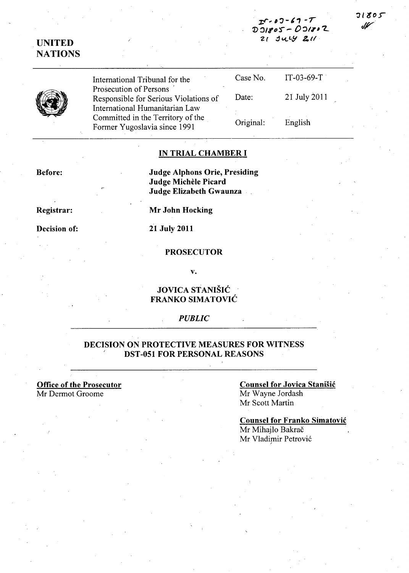**;r:;r ...** ,-:J-~1 **-r**  *'J)':JII'D'S"-* **O,:)III"L**   $21$  July 211.

## \_ **UNITED NATIONS**

| International Tribunal for the                                                                      | Case No.  | $IT-03-69-T$ |
|-----------------------------------------------------------------------------------------------------|-----------|--------------|
| Prosecution of Persons<br>Responsible for Serious Violations of                                     | Date:     | 21 July 2011 |
| International Humanitarian Law<br>Committed in the Territory of the<br>Former Yugoslavia since 1991 | Original: | English      |

#### **IN TRIAL CHAMBER I**

**Judge Alphons Orie, Presiding Judge Michele Picard Judge Elizabeth Gwaunza** 

**Registrar:** 

**Before:** 

**Decision of:** 

**Mr John Hocking** 

### **21 July 2011**

#### **PROSECUTOR**

**v.** 

### **JOVICA STANISIC FRANKO SIMATOVIC**

#### *PUBLIC*

### **DECISION ON PROTECTIVE MEASURES FOR WITNESS DST -051 FOR PERSONAL REASONS**

**Office of the Prosecutor**  Mr Dermot Groome

**Counsel for Jovica Stanisic**  Mr Wayne Jordash Mr Scott Martin

**Counsel for Franko Simatovic**  Mr Mihajlo Bakrač Mr Vladimir Petrović

## $71805$ Jf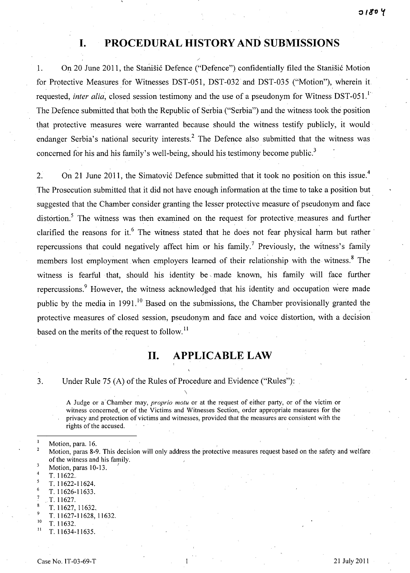# **I. PROCEDURAL HISTORY AND SUBMISSIONS**

1. On 20 June 2011, the Stanisic Defence ("Defence") confidentially filed the Stanisic Motion for Protective Measures for Witnesses DST-051, DST-032 and DST-035 ("Motion"), wherein it requested, *inter alia*, closed session testimony and the use of a pseudonym for Witness DST-051.<sup>1</sup> The Defence submitted that both the Republic of Serbia ("Serbia") and the witness took the position that protective measures were warranted because should the witness testify publicly, it would· endanger Serbia's national security interests.<sup>2</sup> The Defence also submitted that the witness was concerned for his and his family's well-being, should his testimony become public.<sup>3</sup>

2. On 21 June 2011, the Simatović Defence submitted that it took no position on this issue.<sup>4</sup> The Prosecution submitted that it did not have enough information at the time to take a position but suggested that the Chamber consider granting the lesser protective measure of pseudonym and face distortion.<sup>5</sup> The witness was then examined on the request for protective measures and further clarified the reasons for it.<sup>6</sup> The witness stated that he does not fear physical harm but rather repercussions that could negatively affect him or his family.<sup>7</sup> Previously, the witness's family members lost employment when employers learned of their relationship with the witness.<sup>8</sup> The witness is fearful that, should his identity be, made known, his family will face further repercussions.  $9$  However, the witness acknowledged that his identity and occupation were made public by the media in 1991.<sup>10</sup> Based on the submissions, the Chamber provisionally granted the protective measures of closed session, pseudonym and face and voice distortion, with a decision based on the merits of the request to follow.<sup>11</sup>

# **11. APPLICABLE LAW**

3. Under Rule 75 (A) of the Rules of Procedure and Evidence ("Rules"):

 $\lambda$ 

A Judge or a· Chamber may, *proprio motu* or at the request of either party, or of the victim or witness concerned, or of the Victims and Witnesses Section, order appropriate measures for the privacy and protection of victims and witnesses, provided that the measures are consistent with the rights of the accused.

- 4 *T.11622.*
- *T.11622-11624.*
- *T.11626-11633 .*
- T. 11627.
- 
- <sup>8</sup> T. 11627, 11632.<br><sup>9</sup> T. 11627-11628, 11632.
- $\frac{10}{11}$  T. 11632.
- <sup>11</sup>*T.11634-11635.*

Motion, para. 16.

 $\overline{2}$ Motion, paras 8-9. This decision will only address the protective measures request based on the safety and welfare of the witness and his family.

Motion, paras 10-13.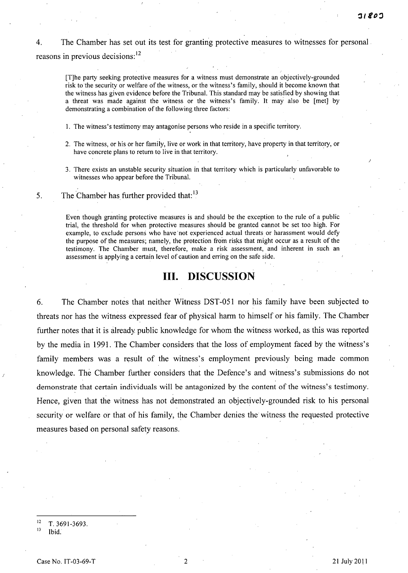4. The Chamber has set out its test for granting protective measures to witnesses for personal reasons in previous decisions:<sup>12</sup>

[T]he party seeking protective measures for a witness must demonstrate an objectively-grounded risk to the security or welfare of the witness, or the witness's family, should it become known that the witness has given evidence before the Tribunal. This standard may be satisfied by showing that a threat was made against the witness or the witness's family. It may also be [met] by demonstrating a combination of the following three factors:

I. The witness's testimony may antagonise persons who reside in a specific territory.

- 2. The witness, or his or her family, live or work in that territory, have property in that territory, or have concrete plans to return to live in that territory.
- 3. There exists an unstable security situation in that territory which is particularly unfavorable to witnesses who appear before the Tribunal.

5. The Chamber has further provided that: $13$ 

Even though granting protective measures is and should be the exception to the rule of a public trial, the threshold for when protective measures should be granted cannot be set too high. For example, to exclude persons who have'not experienced actual threats or harassment would defy the purpose of the measures; namely, the protection from risks that might occur as a result of the testimony. The Chamber must, therefore, make a risk assessment, and inherent in such an assessment is applying a certain level of caution and erring on the safe side.

## **Ill. DISCUSSION**

6. The Chamber notes that neither Witness DST -051 nor his family have been subjected to threats nor has the witness expressed fear of physical harm to himself or his family. The Chamber further notes that it is already public knowledge for whom the witness worked, as this was reported by the media in 1991. The Chamber considers that the loss of employment faced by the witness's family members was a result of the witness's employment previously being made common knowledge. The Chamber further considers that the Defence's and witness's submissions do not demonstrate that certain individuals will be antagonized by the content of the witness's testimony. Hence, given that the witness has not demonstrated an objectively-grounded risk to his personal security or welfare or that of his family, the Chamber denies the witness the requested protective measures based on personal safety reasons.

T. 3691-3693.

 $13$  Ibid.